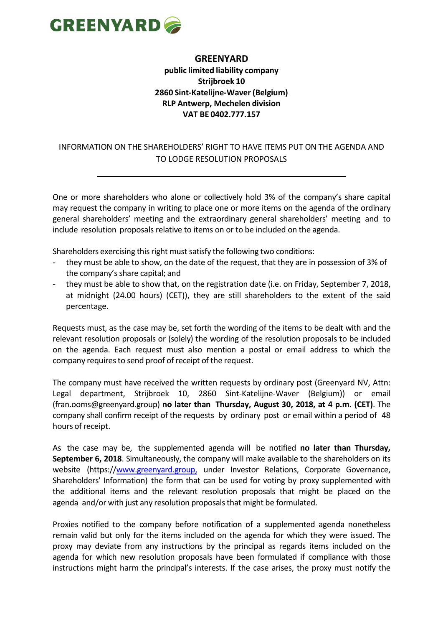

## **GREENYARD**

## **public limited liability company Strijbroek 10 2860 Sint-Katelijne-Waver (Belgium) RLP Antwerp, Mechelen division VAT BE 0402.777.157**

## INFORMATION ON THE SHAREHOLDERS' RIGHT TO HAVE ITEMS PUT ON THE AGENDA AND TO LODGE RESOLUTION PROPOSALS

One or more shareholders who alone or collectively hold 3% of the company's share capital may request the company in writing to place one or more items on the agenda of the ordinary general shareholders' meeting and the extraordinary general shareholders' meeting and to include resolution proposals relative to items on or to be included on the agenda.

Shareholders exercising this right must satisfy the following two conditions:

- they must be able to show, on the date of the request, that they are in possession of 3% of the company's share capital; and
- they must be able to show that, on the registration date (i.e. on Friday, September 7, 2018, at midnight (24.00 hours) (CET)), they are still shareholders to the extent of the said percentage.

Requests must, as the case may be, set forth the wording of the items to be dealt with and the relevant resolution proposals or (solely) the wording of the resolution proposals to be included on the agenda. Each request must also mention a postal or email address to which the company requires to send proof of receipt of the request.

The company must have received the written requests by ordinary post (Greenyard NV, Attn: Legal department, Strijbroek 10, 2860 Sint-Katelijne-Waver (Belgium)) or email (fran.ooms@greenyard.group) **no later than Thursday, August 30, 2018, at 4 p.m. (CET)**. The company shall confirm receipt of the requests by ordinary post or email within a period of 48 hours of receipt.

As the case may be, the supplemented agenda will be notified **no later than Thursday, September 6, 2018**. Simultaneously, the company will make available to the shareholders on its website (https:/[/www.greenyard.group,](http://www.greenyard.group,/) under Investor Relations, Corporate Governance, Shareholders' Information) the form that can be used for voting by proxy supplemented with the additional items and the relevant resolution proposals that might be placed on the agenda and/or with just any resolution proposals that might be formulated.

Proxies notified to the company before notification of a supplemented agenda nonetheless remain valid but only for the items included on the agenda for which they were issued. The proxy may deviate from any instructions by the principal as regards items included on the agenda for which new resolution proposals have been formulated if compliance with those instructions might harm the principal's interests. If the case arises, the proxy must notify the